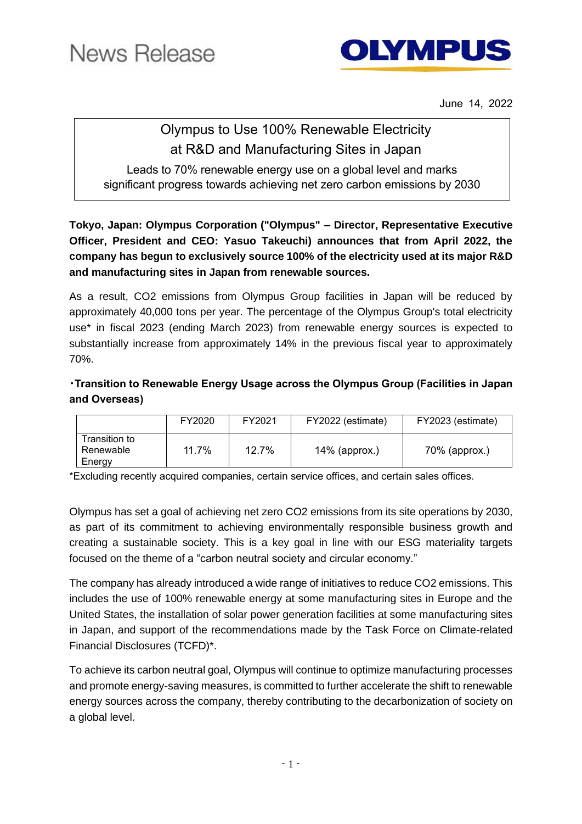

June 14, 2022

## Olympus to Use 100% Renewable Electricity at R&D and Manufacturing Sites in Japan

Leads to 70% renewable energy use on a global level and marks significant progress towards achieving net zero carbon emissions by 2030

**Tokyo, Japan: Olympus Corporation ("Olympus" – Director, Representative Executive Officer, President and CEO: Yasuo Takeuchi) announces that from April 2022, the company has begun to exclusively source 100% of the electricity used at its major R&D and manufacturing sites in Japan from renewable sources.**

As a result, CO2 emissions from Olympus Group facilities in Japan will be reduced by approximately 40,000 tons per year. The percentage of the Olympus Group's total electricity use\* in fiscal 2023 (ending March 2023) from renewable energy sources is expected to substantially increase from approximately 14% in the previous fiscal year to approximately 70%.

## **・Transition to Renewable Energy Usage across the Olympus Group (Facilities in Japan and Overseas)**

|                                      | FY2020 | FY2021 | FY2022 (estimate) | FY2023 (estimate) |
|--------------------------------------|--------|--------|-------------------|-------------------|
| Transition to<br>Renewable<br>Energy | 11.7%  | 12.7%  | $14\%$ (approx.)  | $70\%$ (approx.)  |

\*Excluding recently acquired companies, certain service offices, and certain sales offices.

Olympus has set a goal of achieving net zero CO2 emissions from its site operations by 2030, as part of its commitment to achieving environmentally responsible business growth and creating a sustainable society. This is a key goal in line with our ESG materiality targets focused on the theme of a "carbon neutral society and circular economy."

The company has already introduced a wide range of initiatives to reduce CO2 emissions. This includes the use of 100% renewable energy at some manufacturing sites in Europe and the United States, the installation of solar power generation facilities at some manufacturing sites in Japan, and support of the recommendations made by the Task Force on Climate-related Financial Disclosures (TCFD)\*.

To achieve its carbon neutral goal, Olympus will continue to optimize manufacturing processes and promote energy-saving measures, is committed to further accelerate the shift to renewable energy sources across the company, thereby contributing to the decarbonization of society on a global level.